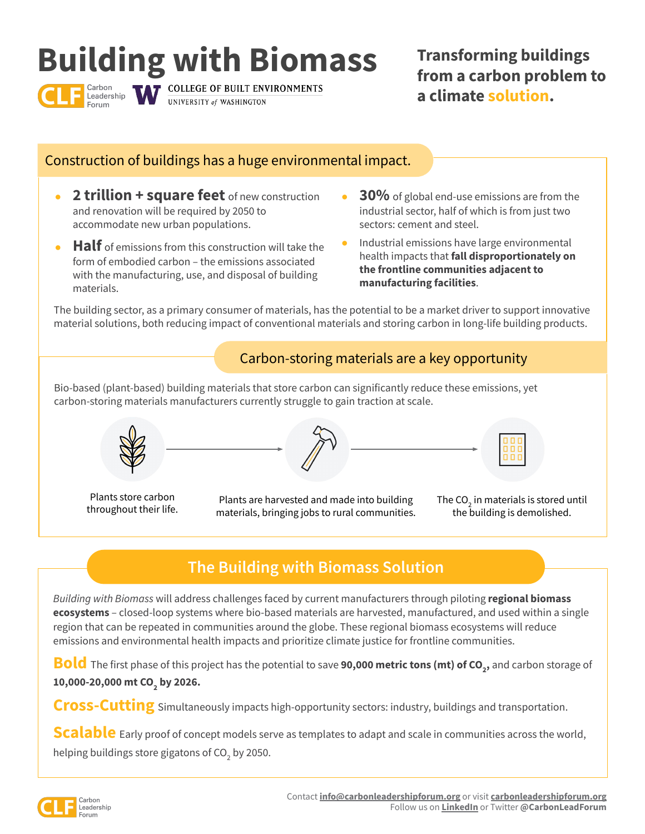# **Building with Biomass**

Carbon<br>Leadership

**COLLEGE OF BUILT ENVIRONMENTS** UNIVERSITY of WASHINGTON

**Transforming buildings from a carbon problem to a climate solution.** 

### Construction of buildings has a huge environmental impact.

- **2 trillion + square feet** of new construction and renovation will be required by 2050 to accommodate new urban populations.
- **Half** of emissions from this construction will take the form of embodied carbon – the emissions associated with the manufacturing, use, and disposal of building materials.
- **30%** of global end-use emissions are from the industrial sector, half of which is from just two sectors: cement and steel.
- Industrial emissions have large environmental health impacts that **fall disproportionately on the frontline communities adjacent to manufacturing facilities**.

The building sector, as a primary consumer of materials, has the potential to be a market driver to support innovative material solutions, both reducing impact of conventional materials and storing carbon in long-life building products.

## Carbon-storing materials are a key opportunity

Bio-based (plant-based) building materials that store carbon can significantly reduce these emissions, yet carbon-storing materials manufacturers currently struggle to gain traction at scale.







Plants store carbon throughout their life.

Plants are harvested and made into building materials, bringing jobs to rural communities. The CO<sub>2</sub> in materials is stored until the building is demolished.

# **The Building with Biomass Solution**

*Building with Biomass* will address challenges faced by current manufacturers through piloting **regional biomass ecosystems** – closed-loop systems where bio-based materials are harvested, manufactured, and used within a single region that can be repeated in communities around the globe. These regional biomass ecosystems will reduce emissions and environmental health impacts and prioritize climate justice for frontline communities.

**Bold** The first phase of this project has the potential to save **90,000 metric tons (mt) of CO<sub>2</sub>,** and carbon storage of 10,000-20,000 mt CO<sub>2</sub> by 2026.

**Cross-Cutting** Simultaneously impacts high-opportunity sectors: industry, buildings and transportation.

**Scalable** Early proof of concept models serve as templates to adapt and scale in communities across the world, helping buildings store gigatons of CO<sub>2</sub> by 2050.